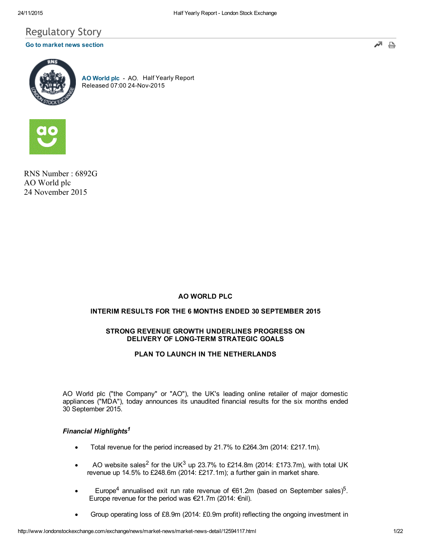# Regulatory Story

## Go to market news [section](javascript: sendto()



AO [World](http://www.londonstockexchange.com/exchange/prices-and-markets/stocks/summary/company-summary-via-tidm.html?tidm=AO.) plc - AO. Half Yearly Report Released 07:00 24-Nov-2015



RNS Number : 6892G AO World plc 24 November 2015

## AO WORLD PLC

## INTERIM RESULTS FOR THE 6 MONTHS ENDED 30 SEPTEMBER 2015

## STRONG REVENUE GROWTH UNDERLINES PROGRESS ON DELIVERY OF LONG-TERM STRATEGIC GOALS

## PLAN TO LAUNCH IN THE NETHERLANDS

AO World plc ("the Company" or "AO"), the UK's leading online retailer of major domestic appliances ("MDA"), today announces its unaudited financial results for the six months ended 30 September 2015.

## *Financial Highlights 1*

- Total revenue for the period increased by 21.7% to £264.3m (2014: £217.1m).
- AO website sales<sup>2</sup> for the UK<sup>3</sup> up 23.7% to £214.8m (2014: £173.7m), with total UK revenue up 14.5% to £248.6m (2014: £217.1m); a further gain in market share.
- Europe<sup>4</sup> annualised exit run rate revenue of  $€61.2m$  (based on September sales)<sup>5</sup>. Europe revenue for the period was €21.7m (2014: €nil).
- Group operating loss of £8.9m (2014: £0.9m profit) reflecting the ongoing investment in

ᅎ ₿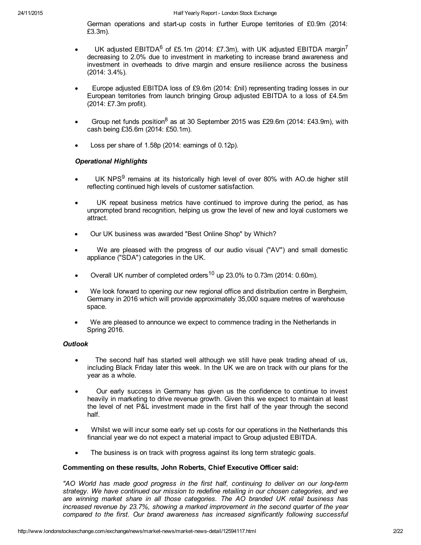German operations and start-up costs in further Europe territories of £0.9m (2014: £3.3m).

- UK adjusted EBITDA<sup>6</sup> of £5.1m (2014: £7.3m), with UK adjusted EBITDA margin<sup>7</sup> decreasing to 2.0% due to investment in marketing to increase brand awareness and investment in overheads to drive margin and ensure resilience across the business (2014: 3.4%).
- Europe adjusted EBITDA loss of £9.6m (2014: £nil) representing trading losses in our European territories from launch bringing Group adjusted EBITDA to a loss of £4.5m (2014: £7.3m profit).
- Group net funds position<sup>8</sup> as at 30 September 2015 was £29.6m (2014: £43.9m), with cash being £35.6m (2014: £50.1m).
- Loss per share of 1.58p (2014: earnings of 0.12p).

## *Operational Highlights*

- UK NPS<sup>9</sup> remains at its historically high level of over 80% with AO.de higher still reflecting continued high levels of customer satisfaction.
- UK repeat business metrics have continued to improve during the period, as has unprompted brand recognition, helping us grow the level of new and loyal customers we attract.
- Our UK business was awarded "Best Online Shop" by Which?
- We are pleased with the progress of our audio visual ("AV") and small domestic appliance ("SDA") categories in the UK.
- Overall UK number of completed orders<sup>10</sup> up 23.0% to 0.73m (2014: 0.60m).
- We look forward to opening our new regional office and distribution centre in Bergheim, Germany in 2016 which will provide approximately 35,000 square metres of warehouse space.
- We are pleased to announce we expect to commence trading in the Netherlands in Spring 2016.

### *Outlook*

- The second half has started well although we still have peak trading ahead of us, including Black Friday later this week. In the UK we are on track with our plans for the year as a whole.
- Our early success in Germany has given us the confidence to continue to invest heavily in marketing to drive revenue growth. Given this we expect to maintain at least the level of net P&L investment made in the first half of the year through the second half.
- Whilst we will incur some early set up costs for our operations in the Netherlands this financial year we do not expect a material impact to Group adjusted EBITDA.
- The business is on track with progress against its long term strategic goals.

### Commenting on these results, John Roberts, Chief Executive Officer said:

*"AO World has made good progress in the first half, continuing to deliver on our longterm strategy. We have continued our mission to redefine retailing in our chosen categories, and we are winning market share in all those categories. The AO branded UK retail business has increased revenue by 23.7%, showing a marked improvement in the second quarter of the year compared to the first. Our brand awareness has increased significantly following successful*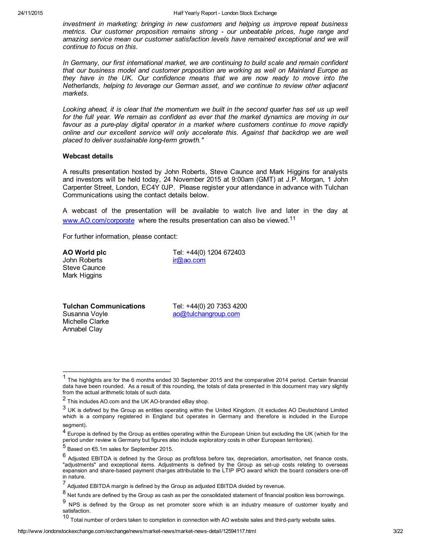*investment in marketing; bringing in new customers and helping us improve repeat business metrics. Our customer proposition remains strong our unbeatable prices, huge range and amazing service mean our customer satisfaction levels have remained exceptional and we will continue to focus on this.*

*In Germany, our first international market, we are continuing to build scale and remain confident that our business model and customer proposition are working as well on Mainland Europe as they have in the UK. Our confidence means that we are now ready to move into the Netherlands, helping to leverage our German asset, and we continue to review other adjacent markets.*

Looking ahead, it is clear that the momentum we built in the second quarter has set us up well *for the full year. We remain as confident as ever that the market dynamics are moving in our favour as a pureplay digital operator in a market where customers continue to move rapidly online and our excellent service will only accelerate this. Against that backdrop we are well placed* to deliver sustainable long-term growth."

### Webcast details

A results presentation hosted by John Roberts, Steve Caunce and Mark Higgins for analysts and investors will be held today, 24 November 2015 at 9:00am (GMT) at J.P. Morgan, 1 John Carpenter Street, London, EC4Y 0JP. Please register your attendance in advance with Tulchan Communications using the contact details below.

A webcast of the presentation will be available to watch live and later in the day at [www.AO.com/corporate](http://www.ao.com/corporate) where the results presentation can also be viewed.<sup>11</sup>

For further information, please contact:

AO World plc John Roberts Steve Caunce Mark Higgins

Tel: +44(0) 1204 672403 [ir@ao.com](mailto:ir@ao.com)

Tulchan Communications Susanna Voyle Michelle Clarke Annabel Clay

Tel: +44(0) 20 7353 4200 [ao@tulchangroup.com](mailto:ao@tulchangroup.com)

\_\_\_\_\_\_\_\_\_\_\_\_\_\_\_\_\_\_\_\_\_\_\_\_\_\_\_\_\_\_

<sup>1</sup> The highlights are for the <sup>6</sup> months ended <sup>30</sup> September <sup>2015</sup> and the comparative <sup>2014</sup> period. Certain financial data have been rounded. As a result of this rounding, the totals of data presented in this document may vary slightly from the actual arithmetic totals of such data.

 $2$  This includes AO.com and the UK AO-branded eBay shop.

 $3$  UK is defined by the Group as entities operating within the United Kingdom. (It excludes AO Deutschland Limited which is a company registered in England but operates in Germany and therefore is included in the Europe segment).

 $^4$  Europe is defined by the Group as entities operating within the European Union but excluding the UK (which for the period under review is Germany but figures also include exploratory costs in other European territories).

<sup>5</sup> Based on €5.1m sales for September 2015.

 $6$  Adiusted EBITDA is defined by the Group as profit/loss before tax, depreciation, amortisation, net finance costs, "adjustments" and exceptional items. Adjustments is defined by the Group as set-up costs relating to overseas expansion and share-based payment charges attributable to the LTIP IPO award which the board considers one-off in nature.

 $7$  Adjusted EBITDA margin is defined by the Group as adjusted EBITDA divided by revenue.

 $8$  Net funds are defined by the Group as cash as per the consolidated statement of financial position less borrowings.

 $9$  NPS is defined by the Group as net promoter score which is an industry measure of customer loyalty and satisfaction.

 $10$  Total number of orders taken to completion in connection with AO website sales and third-party website sales.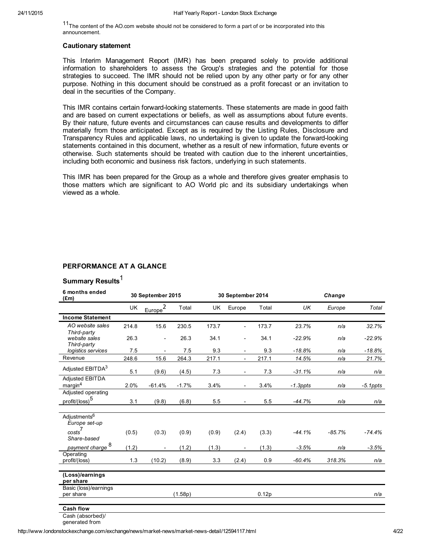<sup>11</sup>The content of the AO.com website should not be considered to form a part of or be incorporated into this announcement.

### Cautionary statement

This Interim Management Report (IMR) has been prepared solely to provide additional information to shareholders to assess the Group's strategies and the potential for those strategies to succeed. The IMR should not be relied upon by any other party or for any other purpose. Nothing in this document should be construed as a profit forecast or an invitation to deal in the securities of the Company.

This IMR contains certain forward-looking statements. These statements are made in good faith and are based on current expectations or beliefs, as well as assumptions about future events. By their nature, future events and circumstances can cause results and developments to differ materially from those anticipated. Except as is required by the Listing Rules, Disclosure and Transparency Rules and applicable laws, no undertaking is given to update the forward-looking statements contained in this document, whether as a result of new information, future events or otherwise. Such statements should be treated with caution due to the inherent uncertainties, including both economic and business risk factors, underlying in such statements.

This IMR has been prepared for the Group as a whole and therefore gives greater emphasis to those matters which are significant to AO World plc and its subsidiary undertakings when viewed as a whole.

## PERFORMANCE AT A GLANCE

## Summary Results<sup>1</sup>

| 6 months ended<br>(Em)                                                | 30 September 2015 |                          |         |       | 30 September 2014        |       | Change      |          |             |
|-----------------------------------------------------------------------|-------------------|--------------------------|---------|-------|--------------------------|-------|-------------|----------|-------------|
|                                                                       | UK                | Europe <sup>2</sup>      | Total   | UK    | Europe                   | Total | UK          | Europe   | Total       |
| <b>Income Statement</b>                                               |                   |                          |         |       |                          |       |             |          |             |
| AO website sales<br>Third-party                                       | 214.8             | 15.6                     | 230.5   | 173.7 | $\overline{\phantom{a}}$ | 173.7 | 23.7%       | n/a      | 32.7%       |
| website sales<br>Third-party                                          | 26.3              | $\overline{\phantom{a}}$ | 26.3    | 34.1  |                          | 34.1  | $-22.9%$    | n/a      | $-22.9%$    |
| logistics services                                                    | 7.5               | $\overline{\phantom{a}}$ | 7.5     | 9.3   |                          | 9.3   | $-18.8%$    | n/a      | $-18.8%$    |
| Revenue                                                               | 248.6             | 15.6                     | 264.3   | 217.1 |                          | 217.1 | 14.5%       | n/a      | 21.7%       |
| Adjusted EBITDA <sup>3</sup>                                          | 5.1               | (9.6)                    | (4.5)   | 7.3   |                          | 7.3   | $-31.1%$    | n/a      | n/a         |
| <b>Adjusted EBITDA</b><br>margin <sup>4</sup>                         | 2.0%              | $-61.4%$                 | $-1.7%$ | 3.4%  |                          | 3.4%  | $-1.3$ ppts | n/a      | $-5.1$ ppts |
| Adjusted operating<br>profit/(loss) <sup>5</sup>                      | 3.1               | (9.8)                    | (6.8)   | 5.5   |                          | 5.5   | $-44.7%$    | n/a      | n/a         |
| Adjustments <sup>6</sup><br>Europe set-up<br>$costs^7$<br>Share-based | (0.5)             | (0.3)                    | (0.9)   | (0.9) | (2.4)                    | (3.3) | $-44.1%$    | $-85.7%$ | $-74.4%$    |
| <u>payment charge <math>^8</math></u>                                 | (1.2)             |                          | (1.2)   | (1.3) |                          | (1.3) | $-3.5%$     | n/a      | $-3.5%$     |
| Operating<br>profit/(loss)                                            | 1.3               | (10.2)                   | (8.9)   | 3.3   | (2.4)                    | 0.9   | $-60.4%$    | 318.3%   | n/a         |
| (Loss)/earnings<br>per share                                          |                   |                          |         |       |                          |       |             |          |             |
| Basic (loss)/earnings<br>per share                                    |                   |                          | (1.58p) |       |                          | 0.12p |             |          | n/a         |
| <b>Cash flow</b>                                                      |                   |                          |         |       |                          |       |             |          |             |

Cash (absorbed)/

generated from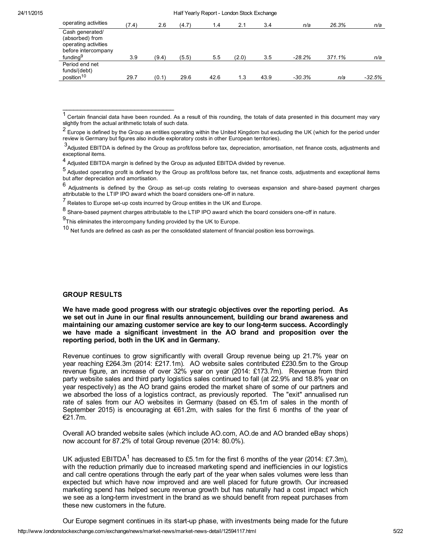| operating activities                                                              | (7.4) | 2.6   | (4.7) | 1.4  | 2.1   | 3.4  | n/a      | 26.3%  | n/a      |
|-----------------------------------------------------------------------------------|-------|-------|-------|------|-------|------|----------|--------|----------|
| Cash generated/<br>(absorbed) from<br>operating activities<br>before intercompany |       |       |       |      |       |      |          |        |          |
| fundina <sup>9</sup>                                                              | 3.9   | (9.4) | (5.5) | 5.5  | (2.0) | 3.5  | $-28.2%$ | 371.1% | n/a      |
| Period end net<br>funds/(debt)                                                    |       |       |       |      |       |      |          |        |          |
| position <sup>10</sup>                                                            | 29.7  | (0.1) | 29.6  | 42.6 | 1.3   | 43.9 | $-30.3%$ | n/a    | $-32.5%$ |

 $^6$  Adjustments is defined by the Group as set-up costs relating to overseas expansion and share-based payment charges attributable to the LTIP IPO award which the board considers one-off in nature.

 $^{9}$ This eliminates the intercompany funding provided by the UK to Europe.

\_\_\_\_\_\_\_\_\_\_\_\_\_\_\_\_\_\_\_\_\_\_\_\_\_\_\_\_\_\_\_

 $10$  Net funds are defined as cash as per the consolidated statement of financial position less borrowings.

## GROUP RESULTS

We have made good progress with our strategic objectives over the reporting period. As we set out in June in our final results announcement, building our brand awareness and maintaining our amazing customer service are key to our long-term success. Accordingly we have made a significant investment in the AO brand and proposition over the reporting period, both in the UK and in Germany.

Revenue continues to grow significantly with overall Group revenue being up 21.7% year on year reaching £264.3m (2014: £217.1m). AO website sales contributed £230.5m to the Group revenue figure, an increase of over 32% year on year (2014: £173.7m). Revenue from third party website sales and third party logistics sales continued to fall (at 22.9% and 18.8% year on year respectively) as the AO brand gains eroded the market share of some of our partners and we absorbed the loss of a logistics contract, as previously reported. The "exit" annualised run rate of sales from our AO websites in Germany (based on €5.1m of sales in the month of September 2015) is encouraging at €61.2m, with sales for the first 6 months of the year of €21.7m.

Overall AO branded website sales (which include AO.com, AO.de and AO branded eBay shops) now account for 87.2% of total Group revenue (2014: 80.0%).

UK adjusted EBITDA<sup>1</sup> has decreased to £5.1m for the first 6 months of the year (2014: £7.3m), with the reduction primarily due to increased marketing spend and inefficiencies in our logistics and call centre operations through the early part of the year when sales volumes were less than expected but which have now improved and are well placed for future growth. Our increased marketing spend has helped secure revenue growth but has naturally had a cost impact which we see as a long-term investment in the brand as we should benefit from repeat purchases from these new customers in the future.

Our Europe segment continues in its start-up phase, with investments being made for the future

 $1$  Certain financial data have been rounded. As a result of this rounding, the totals of data presented in this document may vary slightly from the actual arithmetic totals of such data.

<sup>&</sup>lt;sup>2</sup> Europe is defined by the Group as entities operating within the United Kingdom but excluding the UK (which for the period under review is Germany but figures also include exploratory costs in other European territories).

<sup>&</sup>lt;sup>3</sup>Adiusted EBITDA is defined by the Group as profit/loss before tax, depreciation, amortisation, net finance costs, adjustments and exceptional items.

<sup>&</sup>lt;sup>4</sup> Adiusted EBITDA margin is defined by the Group as adjusted EBITDA divided by revenue.

<sup>5</sup> Adjusted operating profit is defined by the Group as profit/loss before tax, net finance costs, adjustments and exceptional items but after depreciation and amortisation.

 $7$  Relates to Europe set-up costs incurred by Group entities in the UK and Europe.

 $8$  Share-based payment charges attributable to the LTIP IPO award which the board considers one-off in nature.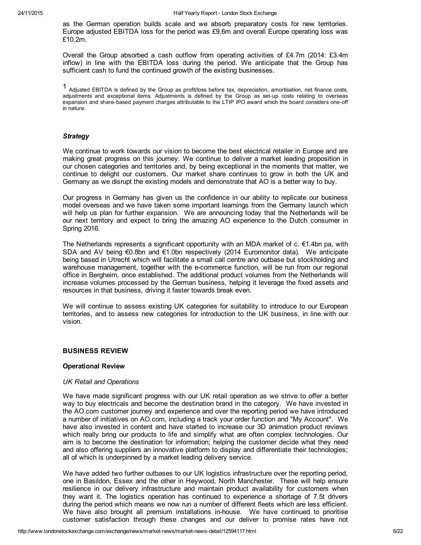as the German operation builds scale and we absorb preparatory costs for new territories. Europe adjusted EBITDA loss for the period was £9.6m and overall Europe operating loss was £10.2m.

Overall the Group absorbed a cash outflow from operating activities of £4.7m (2014: £3.4m inflow) in line with the EBITDA loss during the period. We anticipate that the Group has sufficient cash to fund the continued growth of the existing businesses.

1 Adjusted EBITDA is defined by the Group as profit/loss before tax, depreciation, amortisation, net finance costs, adjustments and exceptional items. Adjustments is defined by the Group as set-up costs relating to overseas expansion and share-based payment charges attributable to the LTIP IPO award which the board considers one-off in nature.

#### *Strategy*

We continue to work towards our vision to become the best electrical retailer in Europe and are making great progress on this journey. We continue to deliver a market leading proposition in our chosen categories and territories and, by being exceptional in the moments that matter, we continue to delight our customers. Our market share continues to grow in both the UK and Germany as we disrupt the existing models and demonstrate that AO is a better way to buy.

Our progress in Germany has given us the confidence in our ability to replicate our business model overseas and we have taken some important learnings from the Germany launch which will help us plan for further expansion. We are announcing today that the Netherlands will be our next territory and expect to bring the amazing AO experience to the Dutch consumer in Spring 2016.

The Netherlands represents a significant opportunity with an MDA market of c.  $\epsilon$ 1.4bn pa, with SDA and AV being €0.8bn and €1.0bn respectively (2014 Euromonitor data). We anticipate being based in Utrecht which will facilitate a small call centre and outbase but stockholding and warehouse management, together with the ecommerce function, will be run from our regional office in Bergheim, once established. The additional product volumes from the Netherlands will increase volumes processed by the German business, helping it leverage the fixed assets and resources in that business, driving it faster towards break even.

We will continue to assess existing UK categories for suitability to introduce to our European territories, and to assess new categories for introduction to the UK business, in line with our vision.

#### BUSINESS REVIEW

#### Operational Review

#### *UK Retail and Operations*

We have made significant progress with our UK retail operation as we strive to offer a better way to buy electricals and become the destination brand in the category. We have invested in the AO.com customer journey and experience and over the reporting period we have introduced a number of initiatives on AO.com, including a track your order function and "My Account". We have also invested in content and have started to increase our 3D animation product reviews which really bring our products to life and simplify what are often complex technologies. Our aim is to become the destination for information; helping the customer decide what they need and also offering suppliers an innovative platform to display and differentiate their technologies; all of which is underpinned by a market leading delivery service.

We have added two further outbases to our UK logistics infrastructure over the reporting period, one in Basildon, Essex and the other in Heywood, North Manchester. These will help ensure resilience in our delivery infrastructure and maintain product availability for customers when they want it. The logistics operation has continued to experience a shortage of 7.5t drivers during the period which means we now run a number of different fleets which are less efficient. We have also brought all premium installations in-house. We have continued to prioritise customer satisfaction through these changes and our deliver to promise rates have not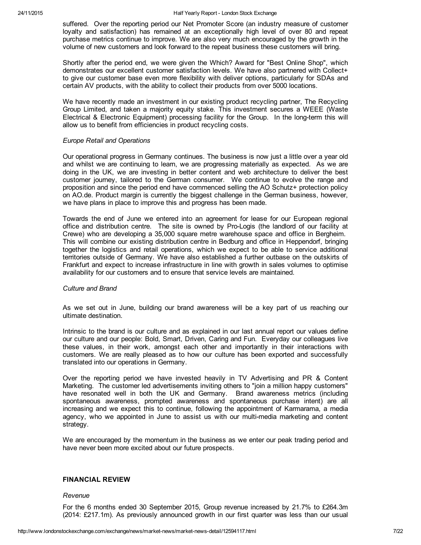suffered. Over the reporting period our Net Promoter Score (an industry measure of customer loyalty and satisfaction) has remained at an exceptionally high level of over 80 and repeat purchase metrics continue to improve. We are also very much encouraged by the growth in the volume of new customers and look forward to the repeat business these customers will bring.

Shortly after the period end, we were given the Which? Award for "Best Online Shop", which demonstrates our excellent customer satisfaction levels. We have also partnered with Collect+ to give our customer base even more flexibility with deliver options, particularly for SDAs and certain AV products, with the ability to collect their products from over 5000 locations.

We have recently made an investment in our existing product recycling partner, The Recycling Group Limited, and taken a majority equity stake. This investment secures a WEEE (Waste Electrical & Electronic Equipment) processing facility for the Group. In the long-term this will allow us to benefit from efficiencies in product recycling costs.

### *Europe Retail and Operations*

Our operational progress in Germany continues. The business is now just a little over a year old and whilst we are continuing to learn, we are progressing materially as expected. As we are doing in the UK, we are investing in better content and web architecture to deliver the best customer journey, tailored to the German consumer. We continue to evolve the range and proposition and since the period end have commenced selling the AO Schutz+ protection policy on AO.de. Product margin is currently the biggest challenge in the German business, however, we have plans in place to improve this and progress has been made.

Towards the end of June we entered into an agreement for lease for our European regional office and distribution centre. The site is owned by ProLogis (the landlord of our facility at Crewe) who are developing a 35,000 square metre warehouse space and office in Bergheim. This will combine our existing distribution centre in Bedburg and office in Heppendorf, bringing together the logistics and retail operations, which we expect to be able to service additional territories outside of Germany. We have also established a further outbase on the outskirts of Frankfurt and expect to increase infrastructure in line with growth in sales volumes to optimise availability for our customers and to ensure that service levels are maintained.

#### *Culture and Brand*

As we set out in June, building our brand awareness will be a key part of us reaching our ultimate destination.

Intrinsic to the brand is our culture and as explained in our last annual report our values define our culture and our people: Bold, Smart, Driven, Caring and Fun. Everyday our colleagues live these values, in their work, amongst each other and importantly in their interactions with customers. We are really pleased as to how our culture has been exported and successfully translated into our operations in Germany.

Over the reporting period we have invested heavily in TV Advertising and PR & Content Marketing. The customer led advertisements inviting others to "join a million happy customers" have resonated well in both the UK and Germany. Brand awareness metrics (including spontaneous awareness, prompted awareness and spontaneous purchase intent) are all increasing and we expect this to continue, following the appointment of Karmarama, a media agency, who we appointed in June to assist us with our multi-media marketing and content strategy.

We are encouraged by the momentum in the business as we enter our peak trading period and have never been more excited about our future prospects.

#### FINANCIAL REVIEW

#### *Revenue*

For the 6 months ended 30 September 2015, Group revenue increased by 21.7% to £264.3m (2014: £217.1m). As previously announced growth in our first quarter was less than our usual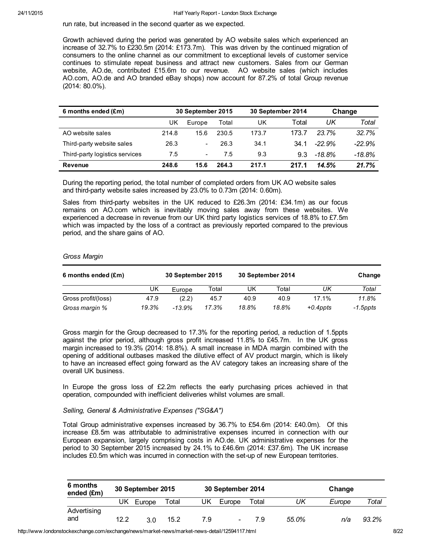## run rate, but increased in the second quarter as we expected.

Growth achieved during the period was generated by AO website sales which experienced an increase of 32.7% to £230.5m (2014: £173.7m). This was driven by the continued migration of consumers to the online channel as our commitment to exceptional levels of customer service continues to stimulate repeat business and attract new customers. Sales from our German website, AO.de, contributed £15.6m to our revenue. AO website sales (which includes AO.com, AO.de and AO branded eBay shops) now account for 87.2% of total Group revenue (2014: 80.0%).

| 6 months ended (£m)            |       | 30 September 2015        |       |       | 30 September 2014 | Change    |          |
|--------------------------------|-------|--------------------------|-------|-------|-------------------|-----------|----------|
|                                | UK    | Europe                   | Total | UK    | Total             | UK        | Total    |
| AO website sales               | 214.8 | 15.6                     | 230.5 | 173.7 | 173.7             | 23.7%     | 32.7%    |
| Third-party website sales      | 26.3  | $\overline{\phantom{a}}$ | 26.3  | 34.1  | 34.1              | $-22.9%$  | $-22.9%$ |
| Third-party logistics services | 7.5   | $\blacksquare$           | 7.5   | 9.3   | 9.3               | $-18.8\%$ | $-18.8%$ |
| Revenue                        | 248.6 | 15.6                     | 264.3 | 217.1 | 217.1             | 14.5%     | 21.7%    |

During the reporting period, the total number of completed orders from UK AO website sales and third-party website sales increased by  $23.0\%$  to 0.73m (2014: 0.60m).

Sales from third-party websites in the UK reduced to  $£26.3m$  (2014:  $£34.1m$ ) as our focus remains on AO.com which is inevitably moving sales away from these websites. We experienced a decrease in revenue from our UK third party logistics services of 18.8% to £7.5m which was impacted by the loss of a contract as previously reported compared to the previous period, and the share gains of AO.

#### *Gross Margin*

| 6 months ended (£m) |       | 30 September 2015 |       |       | 30 September 2014 |          | Change   |
|---------------------|-------|-------------------|-------|-------|-------------------|----------|----------|
|                     | UK    | Europe            | Гоtal | UK    | Гоtal             | UK       | Total    |
| Gross profit/(loss) | 47.9  | (2.2)             | 45.7  | 40.9  | 40.9              | 17.1%    | 11.8%    |
| Gross margin %      | 19.3% | $-13.9%$          | 17.3% | 18.8% | 18.8%             | +0.4ppts | -1.5ppts |

Gross margin for the Group decreased to 17.3% for the reporting period, a reduction of 1.5ppts against the prior period, although gross profit increased 11.8% to £45.7m. In the UK gross margin increased to 19.3% (2014: 18.8%). A small increase in MDA margin combined with the opening of additional outbases masked the dilutive effect of AV product margin, which is likely to have an increased effect going forward as the AV category takes an increasing share of the overall UK business.

In Europe the gross loss of  $£2.2m$  reflects the early purchasing prices achieved in that operation, compounded with inefficient deliveries whilst volumes are small.

### *Selling, General & Administrative Expenses ("SG&A")*

Total Group administrative expenses increased by 36.7% to £54.6m (2014: £40.0m). Of this increase £8.5m was attributable to administrative expenses incurred in connection with our European expansion, largely comprising costs in AO.de. UK administrative expenses for the period to 30 September 2015 increased by 24.1% to £46.6m (2014: £37.6m). The UK increase includes £0.5m which was incurred in connection with the set-up of new European territories.

| 6 months<br>ended (£m) |      | 30 September 2015 |       |     | 30 September 2014        |       |       | Change |       |  |  |
|------------------------|------|-------------------|-------|-----|--------------------------|-------|-------|--------|-------|--|--|
|                        | UK   | Europe            | Total | UK  | Europe                   | Total | UK    | Europe | Total |  |  |
| Advertising<br>and     | 12.2 | 3.0               | 15.2  | 7.9 | $\overline{\phantom{0}}$ | 7 Q   | 55.0% | n/a    | 93.2% |  |  |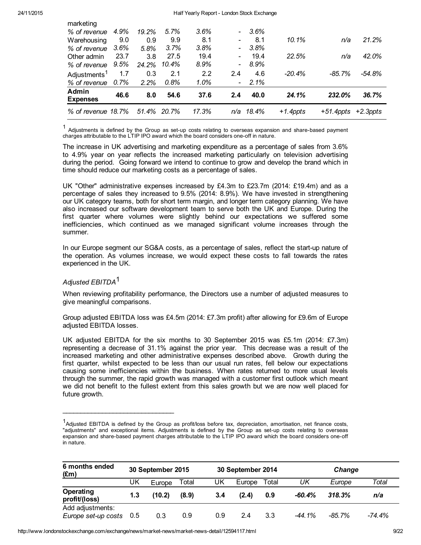| 24/11/2015 |
|------------|
|            |

marketing

| $%$ of revenue 18.7%     |         | 51.4% | 20.7% | 17.3% |                          | n/a 18.4% | +1.4ppts | +51.4ppts | $+2.3$ ppts |
|--------------------------|---------|-------|-------|-------|--------------------------|-----------|----------|-----------|-------------|
| Admin<br><b>Expenses</b> | 46.6    | 8.0   | 54.6  | 37.6  | 2.4                      | 40.0      | 24.1%    | 232.0%    | 36.7%       |
| % of revenue             | $0.7\%$ | 2.2%  | 0.8%  | 1.0%  | $\sim$                   | 2.1%      |          |           |             |
| Adjustments <sup>1</sup> | 1.7     | 0.3   | 2.1   | 2.2   | 2.4                      | 4.6       | $-20.4%$ | -85.7%    | -54.8%      |
| % of revenue             | 9.5%    | 24.2% | 10.4% | 8.9%  | $\sim$                   | 8.9%      |          |           |             |
| Other admin              | 23.7    | 3.8   | 27.5  | 19.4  | $\overline{\phantom{0}}$ | 19.4      | 22.5%    | n/a       | 42.0%       |
| % of revenue             | 3.6%    | 5.8%  | 3.7%  | 3.8%  | $\sim$ 10 $\pm$          | $3.8\%$   |          |           |             |
| Warehousing              | 9.0     | 0.9   | 9.9   | 8.1   | $\overline{\phantom{a}}$ | 8.1       | $10.1\%$ | n/a       | 21.2%       |
| % of revenue             | 4.9%    | 19.2% | 5.7%  | 3.6%  | $\sim$                   | 3.6%      |          |           |             |
| illainctilly             |         |       |       |       |                          |           |          |           |             |

 $1$  Adjustments is defined by the Group as set-up costs relating to overseas expansion and share-based payment  $\frac{1}{2}$  charges attributable to the LTIP IPO award which the board considers one-off in nature.

The increase in UK advertising and marketing expenditure as a percentage of sales from 3.6% to 4.9% year on year reflects the increased marketing particularly on television advertising during the period. Going forward we intend to continue to grow and develop the brand which in time should reduce our marketing costs as a percentage of sales.

UK "Other" administrative expenses increased by £4.3m to £23.7m (2014: £19.4m) and as a percentage of sales they increased to 9.5% (2014: 8.9%). We have invested in strengthening our UK category teams, both for short term margin, and longer term category planning. We have also increased our software development team to serve both the UK and Europe. During the first quarter where volumes were slightly behind our expectations we suffered some inefficiencies, which continued as we managed significant volume increases through the summer.

In our Europe segment our SG&A costs, as a percentage of sales, reflect the start-up nature of the operation. As volumes increase, we would expect these costs to fall towards the rates experienced in the UK.

## *Adjusted EBITDA* 1

When reviewing profitability performance, the Directors use a number of adjusted measures to give meaningful comparisons.

Group adjusted EBITDA loss was £4.5m (2014: £7.3m profit) after allowing for £9.6m of Europe adjusted EBITDA losses.

UK adjusted EBITDA for the six months to 30 September 2015 was £5.1m (2014: £7.3m) representing a decrease of 31.1% against the prior year. This decrease was a result of the increased marketing and other administrative expenses described above. Growth during the first quarter, whilst expected to be less than our usual run rates, fell below our expectations causing some inefficiencies within the business. When rates returned to more usual levels through the summer, the rapid growth was managed with a customer first outlook which meant we did not benefit to the fullest extent from this sales growth but we are now well placed for future growth.

<sup>&</sup>lt;sup>1</sup>Adjusted EBITDA is defined by the Group as profit/loss before tax, depreciation, amortisation, net finance costs, "adjustments" and exceptional items. Adjustments is defined by the Group as set-up costs relating to overseas expansion and share-based payment charges attributable to the LTIP IPO award which the board considers one-off in nature.

| 6 months ended<br>$(\text{Em})$         | 30 September 2015 |        |       |     | 30 September 2014 |       | <b>Change</b> |        |        |
|-----------------------------------------|-------------------|--------|-------|-----|-------------------|-------|---------------|--------|--------|
|                                         | UK                | Europe | Total | UK  | Europe            | Total | UK            | Europe | Total  |
| Operating<br>profit/(loss)              | 1.3               | (10.2) | (8.9) | 3.4 | (2.4)             | 0.9   | $-60.4%$      | 318.3% | n/a    |
| Add adjustments:<br>Europe set-up costs | 0.5               | 0.3    | 0.9   | 0.9 | 2.4               | 3.3   | $-44.1%$      | -85.7% | -74.4% |

 $\overline{\phantom{a}}$  , which is a set of the set of the set of the set of the set of the set of the set of the set of the set of the set of the set of the set of the set of the set of the set of the set of the set of the set of th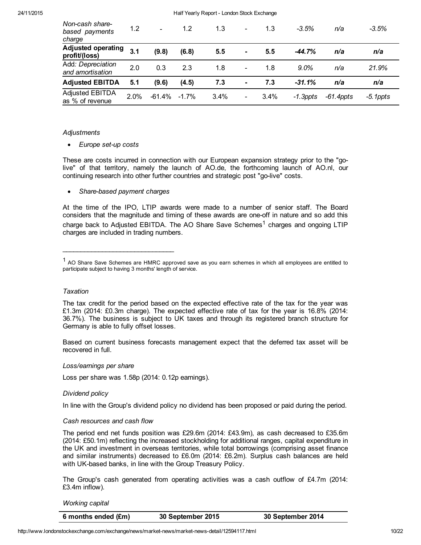| Non-cash share-<br>based payments<br>charge | 1.2  |          | 1.2      | 1.3  | $\overline{\phantom{a}}$ | 1.3  | $-3.5%$  | n/a          | $-3.5%$     |
|---------------------------------------------|------|----------|----------|------|--------------------------|------|----------|--------------|-------------|
| <b>Adjusted operating</b><br>profit/(loss)  | 3.1  | (9.8)    | (6.8)    | 5.5  | ۰.                       | 5.5  | $-44.7%$ | n/a          | n/a         |
| Add: Depreciation<br>and amortisation       | 2.0  | 0.3      | 2.3      | 1.8  | $\overline{\phantom{a}}$ | 1.8  | 9.0%     | n/a          | 21.9%       |
| <b>Adjusted EBITDA</b>                      | 5.1  | (9.6)    | (4.5)    | 7.3  |                          | 7.3  | $-31.1%$ | n/a          | n/a         |
| <b>Adjusted EBITDA</b><br>as % of revenue   | 2.0% | $-61.4%$ | $-1.7\%$ | 3.4% | $\overline{\phantom{a}}$ | 3.4% | -1.3ppts | $-61.4$ ppts | $-5.1$ ppts |

## *Adjustments*

*Europe setup costs*

These are costs incurred in connection with our European expansion strategy prior to the "golive" of that territory, namely the launch of AO.de, the forthcoming launch of AO.nl, our continuing research into other further countries and strategic post "go-live" costs.

*Share-based payment charges* 

\_\_\_\_\_\_\_\_\_\_\_\_\_\_\_\_\_\_\_\_\_\_\_\_\_\_\_\_\_\_\_

24/11/2015 Half Yearly Report London Stock Exchange

At the time of the IPO, LTIP awards were made to a number of senior staff. The Board considers that the magnitude and timing of these awards are one-off in nature and so add this charge back to Adjusted EBITDA. The AO Share Save Schemes<sup>1</sup> charges and ongoing LTIP charges are included in trading numbers.

### *Taxation*

The tax credit for the period based on the expected effective rate of the tax for the year was £1.3m (2014: £0.3m charge). The expected effective rate of tax for the year is 16.8% (2014: 36.7%). The business is subject to UK taxes and through its registered branch structure for Germany is able to fully offset losses.

Based on current business forecasts management expect that the deferred tax asset will be recovered in full.

### *Loss/earnings per share*

Loss per share was 1.58p (2014: 0.12p earnings).

## *Dividend policy*

In line with the Group's dividend policy no dividend has been proposed or paid during the period.

### *Cash resources and cash flow*

The period end net funds position was £29.6m (2014: £43.9m), as cash decreased to £35.6m (2014: £50.1m) reflecting the increased stockholding for additional ranges, capital expenditure in the UK and investment in overseas territories, while total borrowings (comprising asset finance and similar instruments) decreased to £6.0m (2014: £6.2m). Surplus cash balances are held with UK-based banks, in line with the Group Treasury Policy.

The Group's cash generated from operating activities was a cash outflow of £4.7m (2014: £3.4m inflow).

*Working capital*

 $1$  AO Share Save Schemes are HMRC approved save as you earn schemes in which all employees are entitled to participate subject to having 3 months' length of service.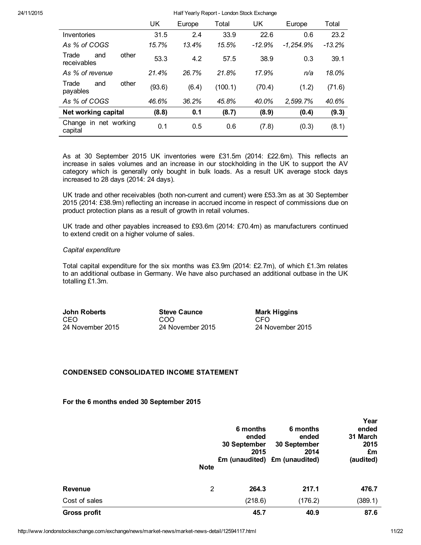|                                      | UK     | Europe | Total   | UK       | Europe      | Total    |
|--------------------------------------|--------|--------|---------|----------|-------------|----------|
| Inventories                          | 31.5   | 2.4    | 33.9    | 22.6     | 0.6         | 23.2     |
| As % of COGS                         | 15.7%  | 13.4%  | 15.5%   | $-12.9%$ | $-1.254.9%$ | $-13.2%$ |
| other<br>Trade<br>and<br>receivables | 53.3   | 4.2    | 57.5    | 38.9     | 0.3         | 39.1     |
| As % of revenue                      | 21.4%  | 26.7%  | 21.8%   | 17.9%    | n/a         | 18.0%    |
| other<br>Trade<br>and<br>payables    | (93.6) | (6.4)  | (100.1) | (70.4)   | (1.2)       | (71.6)   |
| As % of COGS                         | 46.6%  | 36.2%  | 45.8%   | 40.0%    | 2.599.7%    | 40.6%    |
| Net working capital                  | (8.8)  | 0.1    | (8.7)   | (8.9)    | (0.4)       | (9.3)    |
| Change in net working<br>capital     | 0.1    | 0.5    | 0.6     | (7.8)    | (0.3)       | (8.1)    |

As at 30 September 2015 UK inventories were £31.5m (2014: £22.6m). This reflects an increase in sales volumes and an increase in our stockholding in the UK to support the AV category which is generally only bought in bulk loads. As a result UK average stock days increased to 28 days (2014: 24 days).

UK trade and other receivables (both non-current and current) were £53.3m as at 30 September 2015 (2014: £38.9m) reflecting an increase in accrued income in respect of commissions due on product protection plans as a result of growth in retail volumes.

UK trade and other payables increased to £93.6m (2014: £70.4m) as manufacturers continued to extend credit on a higher volume of sales.

## *Capital expenditure*

Total capital expenditure for the six months was £3.9m (2014: £2.7m), of which £1.3m relates to an additional outbase in Germany. We have also purchased an additional outbase in the UK totalling £1.3m.

John Roberts CEO 24 November 2015 Steve Caunce COO 24 November 2015

Mark Higgins CFO 24 November 2015

## CONDENSED CONSOLIDATED INCOME STATEMENT

## For the 6 months ended 30 September 2015

Year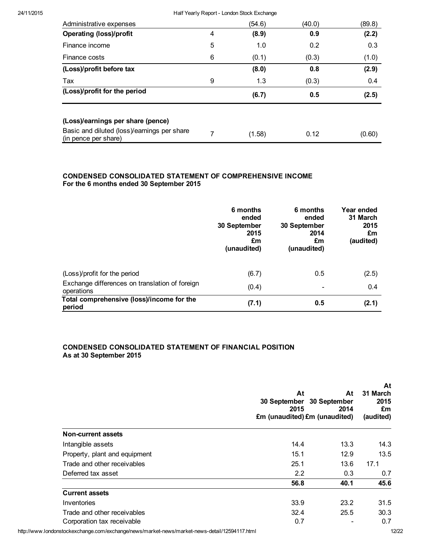| Administrative expenses                                             |   | (54.6) | (40.0) | (89.8) |
|---------------------------------------------------------------------|---|--------|--------|--------|
| <b>Operating (loss)/profit</b>                                      | 4 | (8.9)  | 0.9    | (2.2)  |
| Finance income                                                      | 5 | 1.0    | 0.2    | 0.3    |
| Finance costs                                                       | 6 | (0.1)  | (0.3)  | (1.0)  |
| (Loss)/profit before tax                                            |   | (8.0)  | 0.8    | (2.9)  |
| Tax                                                                 | 9 | 1.3    | (0.3)  | 0.4    |
| (Loss)/profit for the period                                        |   | (6.7)  | 0.5    | (2.5)  |
|                                                                     |   |        |        |        |
| (Loss)/earnings per share (pence)                                   |   |        |        |        |
| Basic and diluted (loss)/earnings per share<br>(in pence per share) |   | (1.58) | 0.12   | (0.60) |

## CONDENSED CONSOLIDATED STATEMENT OF COMPREHENSIVE INCOME For the 6 months ended 30 September 2015

|                                                              | 6 months<br>ended<br>30 September<br>2015<br>£m<br>(unaudited) | 6 months<br>ended<br>30 September<br>2014<br>£m<br>(unaudited) | Year ended<br>31 March<br>2015<br>£m<br>(audited) |
|--------------------------------------------------------------|----------------------------------------------------------------|----------------------------------------------------------------|---------------------------------------------------|
| (Loss)/profit for the period                                 | (6.7)                                                          | 0.5                                                            | (2.5)                                             |
| Exchange differences on translation of foreign<br>operations | (0.4)                                                          |                                                                | 0.4                                               |
| Total comprehensive (loss)/income for the<br>period          | (7.1)                                                          | 0.5                                                            | (2.1)                                             |

## CONDENSED CONSOLIDATED STATEMENT OF FINANCIAL POSITION As at 30 September 2015

| At<br>30 September<br>2015 | At<br>30 September<br>2014 | At<br>31 March<br>2015<br>£m<br>(audited) |
|----------------------------|----------------------------|-------------------------------------------|
|                            |                            |                                           |
| 14.4                       | 13.3                       | 14.3                                      |
| 15.1                       | 12.9                       | 13.5                                      |
| 25.1                       | 13.6                       | 17.1                                      |
| 2.2                        | 0.3                        | 0.7                                       |
| 56.8                       | 40.1                       | 45.6                                      |
|                            |                            |                                           |
| 33.9                       | 23.2                       | 31.5                                      |
| 32.4                       | 25.5                       | 30.3                                      |
| 0.7                        |                            | 0.7                                       |
|                            |                            | £m (unaudited) £m (unaudited)             |

http://www.londonstockexchange.com/exchange/news/market-news/market-news-detail/12594117.html 12/22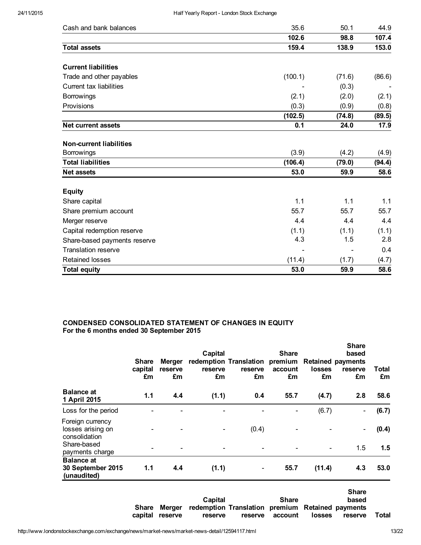| Cash and bank balances         | 35.6    | 50.1   | 44.9   |
|--------------------------------|---------|--------|--------|
|                                | 102.6   | 98.8   | 107.4  |
| <b>Total assets</b>            | 159.4   | 138.9  | 153.0  |
| <b>Current liabilities</b>     |         |        |        |
| Trade and other payables       | (100.1) | (71.6) | (86.6) |
| Current tax liabilities        |         | (0.3)  |        |
| <b>Borrowings</b>              | (2.1)   | (2.0)  | (2.1)  |
| Provisions                     | (0.3)   | (0.9)  | (0.8)  |
|                                | (102.5) | (74.8) | (89.5) |
| <b>Net current assets</b>      | 0.1     | 24.0   | 17.9   |
|                                |         |        |        |
| <b>Non-current liabilities</b> |         |        |        |
| <b>Borrowings</b>              | (3.9)   | (4.2)  | (4.9)  |
| <b>Total liabilities</b>       | (106.4) | (79.0) | (94.4) |
| <b>Net assets</b>              | 53.0    | 59.9   | 58.6   |
|                                |         |        |        |
| <b>Equity</b>                  |         |        |        |
| Share capital                  | 1.1     | 1.1    | 1.1    |
| Share premium account          | 55.7    | 55.7   | 55.7   |
| Merger reserve                 | 4.4     | 4.4    | 4.4    |
| Capital redemption reserve     | (1.1)   | (1.1)  | (1.1)  |
| Share-based payments reserve   | 4.3     | 1.5    | 2.8    |
| <b>Translation reserve</b>     |         |        | 0.4    |
| <b>Retained losses</b>         | (11.4)  | (1.7)  | (4.7)  |
| <b>Total equity</b>            | 53.0    | 59.9   | 58.6   |

## CONDENSED CONSOLIDATED STATEMENT OF CHANGES IN EQUITY For the 6 months ended 30 September 2015

| <b>Share</b><br>capital<br>£m | Merger<br>reserve<br>£m | Capital<br>£m | reserve<br>£m | <b>Share</b><br>premium<br>account<br>£m | <b>losses</b><br>£m    | based<br>reserve<br>£m   | Total<br>£m                                                |
|-------------------------------|-------------------------|---------------|---------------|------------------------------------------|------------------------|--------------------------|------------------------------------------------------------|
| 1.1                           | 4.4                     |               | 0.4           | 55.7                                     |                        | 2.8                      | 58.6                                                       |
|                               |                         |               |               |                                          |                        | $\overline{\phantom{a}}$ | (6.7)                                                      |
|                               |                         |               | (0.4)         |                                          |                        | $\overline{\phantom{a}}$ | (0.4)                                                      |
| -                             |                         |               |               |                                          |                        | 1.5                      | 1.5                                                        |
| 1.1                           | 4.4                     |               |               | 55.7                                     | (11.4)                 | 4.3                      | 53.0                                                       |
|                               |                         |               |               | reserve<br>(1.1)<br>(1.1)                | redemption Translation |                          | <b>Share</b><br><b>Retained payments</b><br>(4.7)<br>(6.7) |

|                 |                                                               |                 |        | <b>Share</b> |       |
|-----------------|---------------------------------------------------------------|-----------------|--------|--------------|-------|
|                 | Capital                                                       | <b>Share</b>    |        | based        |       |
|                 | Share Merger redemption Translation premium Retained payments |                 |        |              |       |
| capital reserve | reserve                                                       | reserve account | losses | reserve      | Total |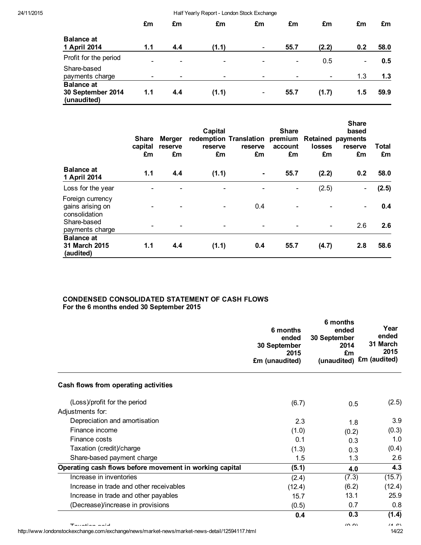|                                                       | £m  | £m                       | £m                       | £m                           | £m                       | £m                       | £m                       | £m   |
|-------------------------------------------------------|-----|--------------------------|--------------------------|------------------------------|--------------------------|--------------------------|--------------------------|------|
| <b>Balance at</b><br>1 April 2014                     | 1.1 | 4.4                      | (1.1)                    | $\overline{\phantom{0}}$     | 55.7                     | (2.2)                    | 0.2 <sub>0</sub>         | 58.0 |
| Profit for the period                                 |     | $\overline{\phantom{0}}$ | $\overline{\phantom{a}}$ | $\qquad \qquad \blacksquare$ | $\overline{\phantom{a}}$ | 0.5                      | $\overline{\phantom{a}}$ | 0.5  |
| Share-based<br>payments charge                        | -   | $\overline{\phantom{a}}$ | $\overline{\phantom{a}}$ | $\overline{\phantom{0}}$     | $\overline{\phantom{a}}$ | $\overline{\phantom{a}}$ | 1.3                      | 1.3  |
| <b>Balance at</b><br>30 September 2014<br>(unaudited) | 1.1 | 4.4                      | (1.1)                    | $\overline{\phantom{a}}$     | 55.7                     | (1.7)                    | 1.5                      | 59.9 |

| <b>Balance at</b>                                     | <b>Share</b><br>capital<br>£m | Merger<br>reserve<br>£m | Capital<br>reserve<br>£m | redemption Translation<br>reserve<br>£m | <b>Share</b><br>premium<br>account<br>£m | <b>losses</b><br>£m | <b>Share</b><br>based<br><b>Retained payments</b><br>reserve<br>£m | Total<br>£m |
|-------------------------------------------------------|-------------------------------|-------------------------|--------------------------|-----------------------------------------|------------------------------------------|---------------------|--------------------------------------------------------------------|-------------|
| 1 April 2014                                          | 1.1                           | 4.4                     | (1.1)                    | $\blacksquare$                          | 55.7                                     | (2.2)               | 0.2                                                                | 58.0        |
| Loss for the year                                     |                               |                         | ۰                        |                                         |                                          | (2.5)               | $\overline{\phantom{a}}$                                           | (2.5)       |
| Foreign currency<br>gains arising on<br>consolidation |                               |                         |                          | 0.4                                     |                                          |                     | $\overline{\phantom{a}}$                                           | 0.4         |
| Share-based<br>payments charge                        |                               |                         |                          |                                         |                                          |                     | 2.6                                                                | 2.6         |
| <b>Balance at</b><br>31 March 2015<br>(audited)       | 1.1                           | 4.4                     | (1.1)                    | 0.4                                     | 55.7                                     | (4.7)               | 2.8                                                                | 58.6        |

## CONDENSED CONSOLIDATED STATEMENT OF CASH FLOWS For the 6 months ended 30 September 2015

|                                                                                               | 6 months<br>ended<br>30 September<br>2015<br>£m (unaudited) | 6 months<br>ended<br>30 September<br>2014<br>£m | Year<br>ended<br>31 March<br>2015<br>(unaudited) £m (audited) |
|-----------------------------------------------------------------------------------------------|-------------------------------------------------------------|-------------------------------------------------|---------------------------------------------------------------|
| Cash flows from operating activities                                                          |                                                             |                                                 |                                                               |
| (Loss)/profit for the period                                                                  | (6.7)                                                       | 0.5                                             | (2.5)                                                         |
| Adjustments for:                                                                              |                                                             |                                                 |                                                               |
| Depreciation and amortisation                                                                 | 2.3                                                         | 1.8                                             | 3.9                                                           |
| Finance income                                                                                | (1.0)                                                       | (0.2)                                           | (0.3)                                                         |
| Finance costs                                                                                 | 0.1                                                         | 0.3                                             | 1.0                                                           |
| Taxation (credit)/charge                                                                      | (1.3)                                                       | 0.3                                             | (0.4)                                                         |
| Share-based payment charge                                                                    | 1.5                                                         | 1.3                                             | 2.6                                                           |
| Operating cash flows before movement in working capital                                       | (5.1)                                                       | 4.0                                             | 4.3                                                           |
| Increase in inventories                                                                       | (2.4)                                                       | (7.3)                                           | (15.7)                                                        |
| Increase in trade and other receivables                                                       | (12.4)                                                      | (6.2)                                           | (12.4)                                                        |
| Increase in trade and other payables                                                          | 15.7                                                        | 13.1                                            | 25.9                                                          |
| (Decrease)/increase in provisions                                                             | (0.5)                                                       | 0.7                                             | 0.8                                                           |
|                                                                                               | 0.4                                                         | 0.3                                             | (1.4)                                                         |
| http://www.londonstockexchange.com/exchange/news/market-news/market-news-detail/12594117.html |                                                             | $\sim$ $\sim$                                   | (4.0)<br>14/22                                                |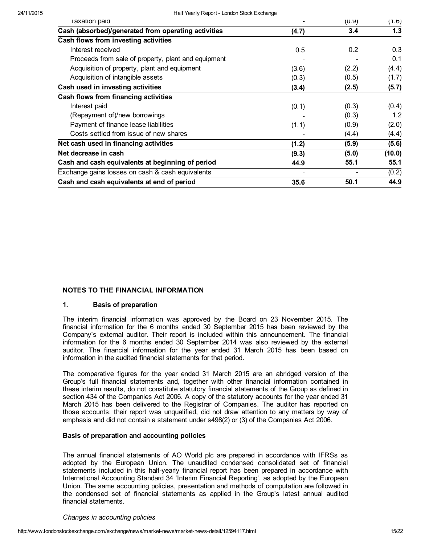| I axation paid                                      |       | (U.9) | (1.0)  |
|-----------------------------------------------------|-------|-------|--------|
| Cash (absorbed)/generated from operating activities | (4.7) | 3.4   | 1.3    |
| Cash flows from investing activities                |       |       |        |
| Interest received                                   | 0.5   | 0.2   | 0.3    |
| Proceeds from sale of property, plant and equipment |       |       | 0.1    |
| Acquisition of property, plant and equipment        | (3.6) | (2.2) | (4.4)  |
| Acquisition of intangible assets                    | (0.3) | (0.5) | (1.7)  |
| Cash used in investing activities                   | (3.4) | (2.5) | (5.7)  |
| Cash flows from financing activities                |       |       |        |
| Interest paid                                       | (0.1) | (0.3) | (0.4)  |
| (Repayment of)/new borrowings                       |       | (0.3) | 1.2    |
| Payment of finance lease liabilities                | (1.1) | (0.9) | (2.0)  |
| Costs settled from issue of new shares              |       | (4.4) | (4.4)  |
| Net cash used in financing activities               | (1.2) | (5.9) | (5.6)  |
| Net decrease in cash                                | (9.3) | (5.0) | (10.0) |
| Cash and cash equivalents at beginning of period    | 44.9  | 55.1  | 55.1   |
| Exchange gains losses on cash & cash equivalents    |       |       | (0.2)  |
| Cash and cash equivalents at end of period          | 35.6  | 50.1  | 44.9   |

## NOTES TO THE FINANCIAL INFORMATION

## 1. Basis of preparation

The interim financial information was approved by the Board on 23 November 2015. The financial information for the 6 months ended 30 September 2015 has been reviewed by the Company's external auditor. Their report is included within this announcement. The financial information for the 6 months ended 30 September 2014 was also reviewed by the external auditor. The financial information for the year ended 31 March 2015 has been based on information in the audited financial statements for that period.

The comparative figures for the year ended 31 March 2015 are an abridged version of the Group's full financial statements and, together with other financial information contained in these interim results, do not constitute statutory financial statements of the Group as defined in section 434 of the Companies Act 2006. A copy of the statutory accounts for the year ended 31 March 2015 has been delivered to the Registrar of Companies. The auditor has reported on those accounts: their report was unqualified, did not draw attention to any matters by way of emphasis and did not contain a statement under s498(2) or (3) of the Companies Act 2006.

## Basis of preparation and accounting policies

The annual financial statements of AO World plc are prepared in accordance with IFRSs as adopted by the European Union. The unaudited condensed consolidated set of financial statements included in this half-yearly financial report has been prepared in accordance with International Accounting Standard 34 'Interim Financial Reporting', as adopted by the European Union. The same accounting policies, presentation and methods of computation are followed in the condensed set of financial statements as applied in the Group's latest annual audited financial statements.

#### *Changes in accounting policies*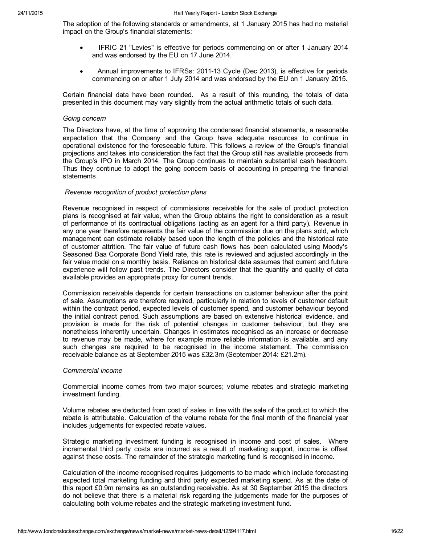The adoption of the following standards or amendments, at 1 January 2015 has had no material impact on the Group's financial statements:

- IFRIC 21 "Levies" is effective for periods commencing on or after 1 January 2014 and was endorsed by the EU on 17 June 2014.
- Annual improvements to IFRSs: 2011-13 Cycle (Dec 2013), is effective for periods commencing on or after 1 July 2014 and was endorsed by the EU on 1 January 2015.

Certain financial data have been rounded. As a result of this rounding, the totals of data presented in this document may vary slightly from the actual arithmetic totals of such data.

#### *Going concern*

The Directors have, at the time of approving the condensed financial statements, a reasonable expectation that the Company and the Group have adequate resources to continue in operational existence for the foreseeable future. This follows a review of the Group's financial projections and takes into consideration the fact that the Group still has available proceeds from the Group's IPO in March 2014. The Group continues to maintain substantial cash headroom. Thus they continue to adopt the going concern basis of accounting in preparing the financial statements.

#### *Revenue recognition of product protection plans*

Revenue recognised in respect of commissions receivable for the sale of product protection plans is recognised at fair value, when the Group obtains the right to consideration as a result of performance of its contractual obligations (acting as an agent for a third party). Revenue in any one year therefore represents the fair value of the commission due on the plans sold, which management can estimate reliably based upon the length of the policies and the historical rate of customer attrition. The fair value of future cash flows has been calculated using Moody's Seasoned Baa Corporate Bond Yield rate, this rate is reviewed and adjusted accordingly in the fair value model on a monthly basis. Reliance on historical data assumes that current and future experience will follow past trends. The Directors consider that the quantity and quality of data available provides an appropriate proxy for current trends.

Commission receivable depends for certain transactions on customer behaviour after the point of sale. Assumptions are therefore required, particularly in relation to levels of customer default within the contract period, expected levels of customer spend, and customer behaviour beyond the initial contract period. Such assumptions are based on extensive historical evidence, and provision is made for the risk of potential changes in customer behaviour, but they are nonetheless inherently uncertain. Changes in estimates recognised as an increase or decrease to revenue may be made, where for example more reliable information is available, and any such changes are required to be recognised in the income statement. The commission receivable balance as at September 2015 was £32.3m (September 2014: £21.2m).

### *Commercial income*

Commercial income comes from two major sources; volume rebates and strategic marketing investment funding.

Volume rebates are deducted from cost of sales in line with the sale of the product to which the rebate is attributable. Calculation of the volume rebate for the final month of the financial year includes judgements for expected rebate values.

Strategic marketing investment funding is recognised in income and cost of sales. Where incremental third party costs are incurred as a result of marketing support, income is offset against these costs. The remainder of the strategic marketing fund is recognised in income.

Calculation of the income recognised requires judgements to be made which include forecasting expected total marketing funding and third party expected marketing spend. As at the date of this report £0.9m remains as an outstanding receivable. As at 30 September 2015 the directors do not believe that there is a material risk regarding the judgements made for the purposes of calculating both volume rebates and the strategic marketing investment fund.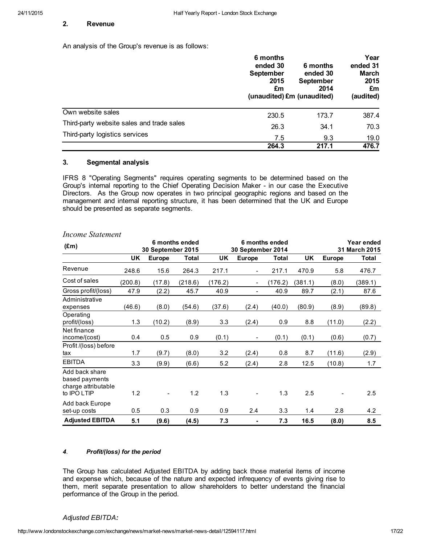## 2. Revenue

An analysis of the Group's revenue is as follows:

|                                           | 6 months<br>ended 30<br><b>September</b><br>2015<br>£m | 6 months<br>ended 30<br><b>September</b><br>2014<br>(unaudited) £m (unaudited) | Year<br>ended 31<br>March<br>2015<br>£m<br>(audited) |
|-------------------------------------------|--------------------------------------------------------|--------------------------------------------------------------------------------|------------------------------------------------------|
| Own website sales                         | 230.5                                                  | 173.7                                                                          | 387.4                                                |
| Third-party website sales and trade sales | 26.3                                                   | 34.1                                                                           | 70.3                                                 |
| Third-party logistics services            | 7.5                                                    | 9.3                                                                            | 19.0                                                 |
|                                           | 264.3                                                  | 217.1                                                                          | 476.7                                                |

## 3. Segmental analysis

IFRS 8 "Operating Segments" requires operating segments to be determined based on the Group's internal reporting to the Chief Operating Decision Maker in our case the Executive Directors. As the Group now operates in two principal geographic regions and based on the management and internal reporting structure, it has been determined that the UK and Europe should be presented as separate segments.

| $(\text{Em})$                                                          |         | 6 months ended<br>30 September 2015 |         |         | 6 months ended<br>30 September 2014 |              |         |               | Year ended<br>31 March 2015 |
|------------------------------------------------------------------------|---------|-------------------------------------|---------|---------|-------------------------------------|--------------|---------|---------------|-----------------------------|
|                                                                        | UK      | <b>Europe</b>                       | Total   | UK.     | <b>Europe</b>                       | <b>Total</b> | UK      | <b>Europe</b> | Total                       |
| Revenue                                                                | 248.6   | 15.6                                | 264.3   | 217.1   | ۰                                   | 217.1        | 470.9   | 5.8           | 476.7                       |
| Cost of sales                                                          | (200.8) | (17.8)                              | (218.6) | (176.2) | -                                   | (176.2)      | (381.1) | (8.0)         | (389.1)                     |
| Gross profit/(loss)                                                    | 47.9    | (2.2)                               | 45.7    | 40.9    |                                     | 40.9         | 89.7    | (2.1)         | 87.6                        |
| Administrative<br>expenses                                             | (46.6)  | (8.0)                               | (54.6)  | (37.6)  | (2.4)                               | (40.0)       | (80.9)  | (8.9)         | (8.8)                       |
| Operating<br>profit/(loss)                                             | 1.3     | (10.2)                              | (8.9)   | 3.3     | (2.4)                               | 0.9          | 8.8     | (11.0)        | (2.2)                       |
| Net finance<br>income/(cost)                                           | 0.4     | 0.5                                 | 0.9     | (0.1)   | $\overline{\phantom{0}}$            | (0.1)        | (0.1)   | (0.6)         | (0.7)                       |
| Profit /(loss) before<br>tax                                           | 1.7     | (9.7)                               | (0.8)   | 3.2     | (2.4)                               | 0.8          | 8.7     | (11.6)        | (2.9)                       |
| <b>EBITDA</b>                                                          | 3.3     | (9.9)                               | (6.6)   | 5.2     | (2.4)                               | 2.8          | 12.5    | (10.8)        | 1.7                         |
| Add back share<br>based payments<br>charge attributable<br>to IPO LTIP | 1.2     |                                     | 1.2     | 1.3     |                                     | 1.3          | 2.5     |               | 2.5                         |
| Add back Europe<br>set-up costs                                        | 0.5     | 0.3                                 | 0.9     | 0.9     | 2.4                                 | 3.3          | 1.4     | 2.8           | 4.2                         |
| <b>Adjusted EBITDA</b>                                                 | 5.1     | (9.6)                               | (4.5)   | 7.3     |                                     | 7.3          | 16.5    | (8.0)         | 8.5                         |

## Income Statement

## *4. Profit/(loss) for the period*

The Group has calculated Adjusted EBITDA by adding back those material items of income and expense which, because of the nature and expected infrequency of events giving rise to them, merit separate presentation to allow shareholders to better understand the financial performance of the Group in the period.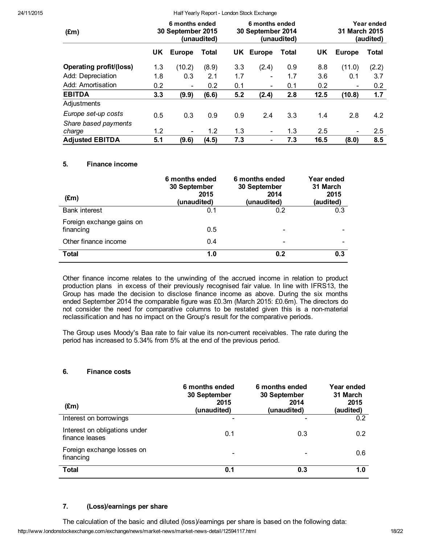| $(\text{Em})$           | 6 months ended<br>30 September 2015<br>(unaudited) |                          |       | 6 months ended<br>30 September 2014<br>(unaudited) |                          |       |      | Year ended<br>31 March 2015<br>(audited) |       |
|-------------------------|----------------------------------------------------|--------------------------|-------|----------------------------------------------------|--------------------------|-------|------|------------------------------------------|-------|
|                         | UK.                                                | <b>Europe</b>            | Total | UK l                                               | <b>Europe</b>            | Total | UK   | <b>Europe</b>                            | Total |
| Operating profit/(loss) | 1.3                                                | (10.2)                   | (8.9) | 3.3                                                | (2.4)                    | 0.9   | 8.8  | (11.0)                                   | (2.2) |
| Add: Depreciation       | 1.8                                                | 0.3                      | 2.1   | 1.7                                                | $\overline{\phantom{a}}$ | 1.7   | 3.6  | 0.1                                      | 3.7   |
| Add: Amortisation       | 0.2                                                | $\overline{\phantom{a}}$ | 0.2   | 0.1                                                | $\overline{\phantom{a}}$ | 0.1   | 0.2  | -                                        | 0.2   |
| <b>EBITDA</b>           | 3.3                                                | (9.9)                    | (6.6) | 5.2                                                | (2.4)                    | 2.8   | 12.5 | (10.8)                                   | 1.7   |
| Adjustments             |                                                    |                          |       |                                                    |                          |       |      |                                          |       |
| Europe set-up costs     | 0.5                                                | 0.3                      | 0.9   | 0.9                                                | 2.4                      | 3.3   | 1.4  | 2.8                                      | 4.2   |
| Share based payments    |                                                    |                          |       |                                                    |                          |       |      |                                          |       |
| charge                  | 1.2                                                | $\overline{\phantom{a}}$ | 1.2   | 1.3                                                | $\overline{\phantom{a}}$ | 1.3   | 2.5  | -                                        | 2.5   |
| <b>Adjusted EBITDA</b>  | 5.1                                                | (9.6)                    | (4.5) | 7.3                                                | $\overline{\phantom{a}}$ | 7.3   | 16.5 | (8.0)                                    | 8.5   |

## 5. Finance income

|                                        | 6 months ended<br>30 September | 6 months ended<br>30 September | Year ended<br>31 March |
|----------------------------------------|--------------------------------|--------------------------------|------------------------|
| $(\text{Em})$                          | 2015<br>(unaudited)            | 2014<br>(unaudited)            | 2015<br>(audited)      |
| <b>Bank interest</b>                   | 0.1                            | 0.2                            | 0.3                    |
| Foreign exchange gains on<br>financing | 0.5                            |                                |                        |
| Other finance income                   | 0.4                            |                                |                        |
| <b>Total</b>                           | 1.0                            | 0.2                            | 0.3                    |

Other finance income relates to the unwinding of the accrued income in relation to product production plans in excess of their previously recognised fair value. In line with IFRS13, the Group has made the decision to disclose finance income as above. During the six months ended September 2014 the comparable figure was £0.3m (March 2015: £0.6m). The directors do not consider the need for comparative columns to be restated given this is a non-material reclassification and has no impact on the Group's result for the comparative periods.

The Group uses Moody's Baa rate to fair value its non-current receivables. The rate during the period has increased to 5.34% from 5% at the end of the previous period.

## 6. Finance costs

| $(\text{Em})$                                   | 6 months ended<br>30 September<br>2015 | 6 months ended<br>30 September<br>2014 | Year ended<br>31 March<br>2015 |
|-------------------------------------------------|----------------------------------------|----------------------------------------|--------------------------------|
|                                                 | (unaudited)                            | (unaudited)                            | (audited)                      |
| Interest on borrowings                          |                                        | $\overline{\phantom{a}}$               | 0.2                            |
| Interest on obligations under<br>finance leases | 0.1                                    | 0.3                                    | 0.2                            |
| Foreign exchange losses on<br>financing         |                                        |                                        | 0.6                            |
| <b>Total</b>                                    | 0.1                                    | 0.3                                    | 1.0                            |

## 7. (Loss)/earnings per share

http://www.londonstockexchange.com/exchange/news/market-news/market-news-detail/12594117.html 18/22 The calculation of the basic and diluted (loss)/earnings per share is based on the following data: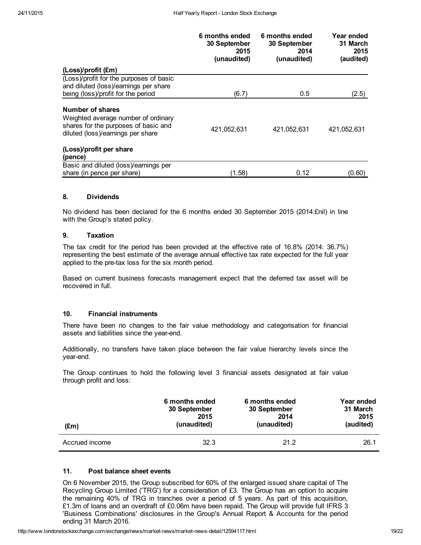|                                                                                                                                      | 6 months ended<br>30 September<br>2015<br>(unaudited) | 6 months ended<br>30 September<br>2014<br>(unaudited) | Year ended<br>31 March<br>2015<br>(audited) |
|--------------------------------------------------------------------------------------------------------------------------------------|-------------------------------------------------------|-------------------------------------------------------|---------------------------------------------|
| (Loss)/profit (£m)                                                                                                                   |                                                       |                                                       |                                             |
| (Loss)/profit for the purposes of basic<br>and diluted (loss)/earnings per share<br>being (loss)/profit for the period               | (6.7)                                                 | 0.5                                                   | (2.5)                                       |
|                                                                                                                                      |                                                       |                                                       |                                             |
| Number of shares<br>Weighted average number of ordinary<br>shares for the purposes of basic and<br>diluted (loss)/earnings per share | 421.052.631                                           | 421.052.631                                           | 421.052.631                                 |
| (Loss)/profit per share<br>(pence)                                                                                                   |                                                       |                                                       |                                             |
| Basic and diluted (loss)/earnings per                                                                                                |                                                       |                                                       |                                             |
| share (in pence per share)                                                                                                           | (1.58)                                                | 0.12                                                  | (0.60)                                      |

## 8. Dividends

No dividend has been declared for the 6 months ended 30 September 2015 (2014:£nil) in line with the Group's stated policy.

## 9. Taxation

The tax credit for the period has been provided at the effective rate of 16.8% (2014: 36.7%) representing the best estimate of the average annual effective tax rate expected for the full year applied to the pre-tax loss for the six month period.

Based on current business forecasts management expect that the deferred tax asset will be recovered in full.

## 10. Financial instruments

There have been no changes to the fair value methodology and categorisation for financial assets and liabilities since the year-end.

Additionally, no transfers have taken place between the fair value hierarchy levels since the vear-end.

The Group continues to hold the following level 3 financial assets designated at fair value through profit and loss:

| $(\text{Em})$  | 6 months ended | 6 months ended | Year ended |
|----------------|----------------|----------------|------------|
|                | 30 September   | 30 September   | 31 March   |
|                | 2015           | 2014           | 2015       |
|                | (unaudited)    | (unaudited)    | (audited)  |
| Accrued income | 32.3           | 21.2           | 26.1       |

### 11. Post balance sheet events

On 6 November 2015, the Group subscribed for 60% of the enlarged issued share capital of The Recycling Group Limited ('TRG') for a consideration of £3. The Group has an option to acquire the remaining 40% of TRG in tranches over a period of 5 years. As part of this acquisition, £1.3m of loans and an overdraft of £0.06m have been repaid. The Group will provide full IFRS 3 'Business Combinations' disclosures in the Group's Annual Report & Accounts for the period ending 31 March 2016.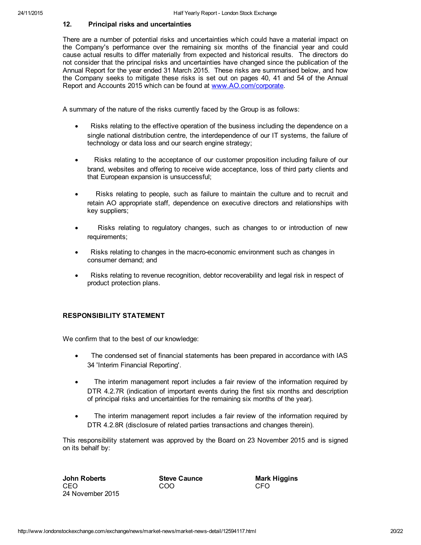## 12. Principal risks and uncertainties

There are a number of potential risks and uncertainties which could have a material impact on the Company's performance over the remaining six months of the financial year and could cause actual results to differ materially from expected and historical results. The directors do not consider that the principal risks and uncertainties have changed since the publication of the Annual Report for the year ended 31 March 2015. These risks are summarised below, and how the Company seeks to mitigate these risks is set out on pages 40, 41 and 54 of the Annual Report and Accounts 2015 which can be found at [www.AO.com/corporate.](http://www.ao.com/corporate)

A summary of the nature of the risks currently faced by the Group is as follows:

- Risks relating to the effective operation of the business including the dependence on a single national distribution centre, the interdependence of our IT systems, the failure of technology or data loss and our search engine strategy;
- Risks relating to the acceptance of our customer proposition including failure of our brand, websites and offering to receive wide acceptance, loss of third party clients and that European expansion is unsuccessful;
- Risks relating to people, such as failure to maintain the culture and to recruit and retain AO appropriate staff, dependence on executive directors and relationships with key suppliers;
- Risks relating to regulatory changes, such as changes to or introduction of new requirements;
- Risks relating to changes in the macro-economic environment such as changes in consumer demand; and
- Risks relating to revenue recognition, debtor recoverability and legal risk in respect of product protection plans.

## RESPONSIBILITY STATEMENT

We confirm that to the best of our knowledge:

- The condensed set of financial statements has been prepared in accordance with IAS 34 'Interim Financial Reporting'.
- The interim management report includes a fair review of the information required by DTR 4.2.7R (indication of important events during the first six months and description of principal risks and uncertainties for the remaining six months of the year).
- The interim management report includes a fair review of the information required by DTR 4.2.8R (disclosure of related parties transactions and changes therein).

This responsibility statement was approved by the Board on 23 November 2015 and is signed on its behalf by:

| <b>John Roberts</b> |
|---------------------|
| CEO                 |
| 24 November 2015    |

Steve Caunce COO

Mark Higgins CFO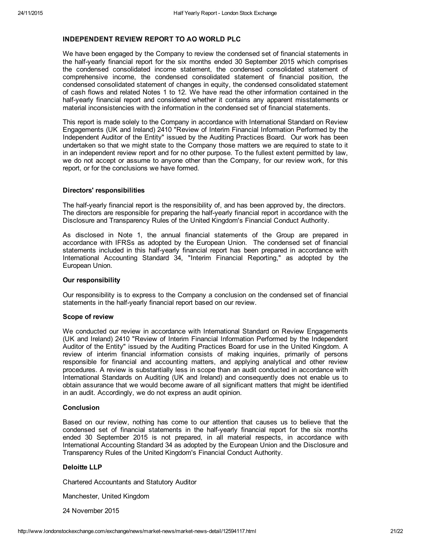## INDEPENDENT REVIEW REPORT TO AO WORLD PLC

We have been engaged by the Company to review the condensed set of financial statements in the half-yearly financial report for the six months ended 30 September 2015 which comprises the condensed consolidated income statement, the condensed consolidated statement of comprehensive income, the condensed consolidated statement of financial position, the condensed consolidated statement of changes in equity, the condensed consolidated statement of cash flows and related Notes 1 to 12. We have read the other information contained in the half-yearly financial report and considered whether it contains any apparent misstatements or material inconsistencies with the information in the condensed set of financial statements.

This report is made solely to the Company in accordance with International Standard on Review Engagements (UK and Ireland) 2410 "Review of Interim Financial Information Performed by the Independent Auditor of the Entity" issued by the Auditing Practices Board. Our work has been undertaken so that we might state to the Company those matters we are required to state to it in an independent review report and for no other purpose. To the fullest extent permitted by law, we do not accept or assume to anyone other than the Company, for our review work, for this report, or for the conclusions we have formed.

### Directors' responsibilities

The half-yearly financial report is the responsibility of, and has been approved by, the directors. The directors are responsible for preparing the half-yearly financial report in accordance with the Disclosure and Transparency Rules of the United Kingdom's Financial Conduct Authority.

As disclosed in Note 1, the annual financial statements of the Group are prepared in accordance with IFRSs as adopted by the European Union. The condensed set of financial statements included in this half-yearly financial report has been prepared in accordance with International Accounting Standard 34, "Interim Financial Reporting," as adopted by the European Union.

### Our responsibility

Our responsibility is to express to the Company a conclusion on the condensed set of financial statements in the half-yearly financial report based on our review.

### Scope of review

We conducted our review in accordance with International Standard on Review Engagements (UK and Ireland) 2410 "Review of Interim Financial Information Performed by the Independent Auditor of the Entity" issued by the Auditing Practices Board for use in the United Kingdom. A review of interim financial information consists of making inquiries, primarily of persons responsible for financial and accounting matters, and applying analytical and other review procedures. A review is substantially less in scope than an audit conducted in accordance with International Standards on Auditing (UK and Ireland) and consequently does not enable us to obtain assurance that we would become aware of all significant matters that might be identified in an audit. Accordingly, we do not express an audit opinion.

### Conclusion

Based on our review, nothing has come to our attention that causes us to believe that the condensed set of financial statements in the half-yearly financial report for the six months ended 30 September 2015 is not prepared, in all material respects, in accordance with International Accounting Standard 34 as adopted by the European Union and the Disclosure and Transparency Rules of the United Kingdom's Financial Conduct Authority.

## Deloitte LLP

Chartered Accountants and Statutory Auditor

Manchester, United Kingdom

24 November 2015